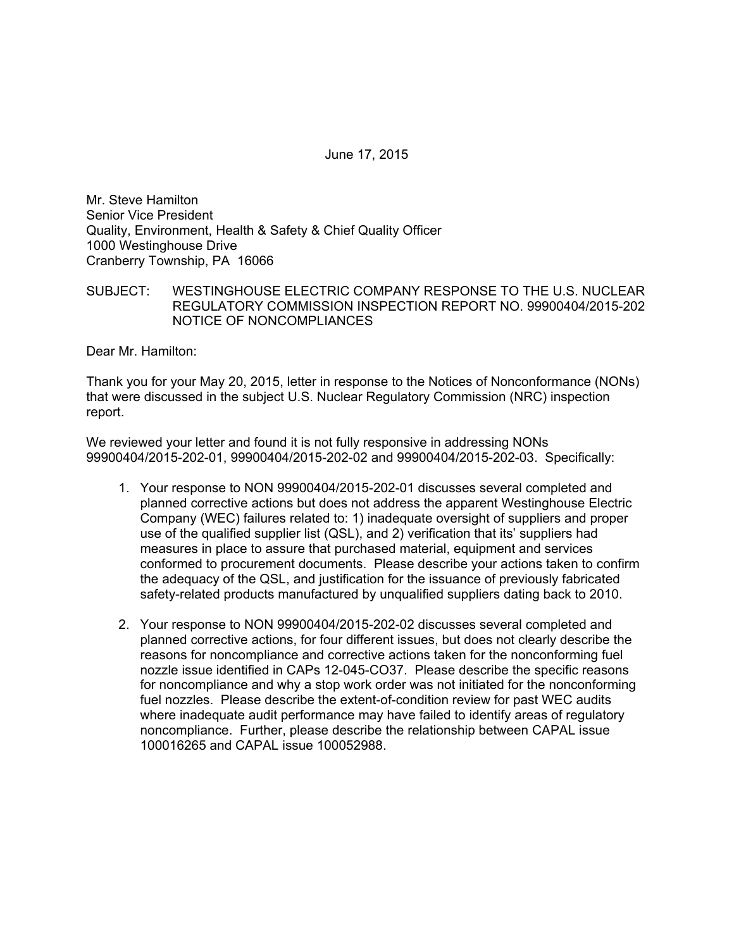June 17, 2015

Mr. Steve Hamilton Senior Vice President Quality, Environment, Health & Safety & Chief Quality Officer 1000 Westinghouse Drive Cranberry Township, PA 16066

SUBJECT: WESTINGHOUSE ELECTRIC COMPANY RESPONSE TO THE U.S. NUCLEAR REGULATORY COMMISSION INSPECTION REPORT NO. 99900404/2015-202 NOTICE OF NONCOMPLIANCES

Dear Mr. Hamilton:

Thank you for your May 20, 2015, letter in response to the Notices of Nonconformance (NONs) that were discussed in the subject U.S. Nuclear Regulatory Commission (NRC) inspection report.

We reviewed your letter and found it is not fully responsive in addressing NONs 99900404/2015-202-01, 99900404/2015-202-02 and 99900404/2015-202-03. Specifically:

- 1. Your response to NON 99900404/2015-202-01 discusses several completed and planned corrective actions but does not address the apparent Westinghouse Electric Company (WEC) failures related to: 1) inadequate oversight of suppliers and proper use of the qualified supplier list (QSL), and 2) verification that its' suppliers had measures in place to assure that purchased material, equipment and services conformed to procurement documents. Please describe your actions taken to confirm the adequacy of the QSL, and justification for the issuance of previously fabricated safety-related products manufactured by unqualified suppliers dating back to 2010.
- 2. Your response to NON 99900404/2015-202-02 discusses several completed and planned corrective actions, for four different issues, but does not clearly describe the reasons for noncompliance and corrective actions taken for the nonconforming fuel nozzle issue identified in CAPs 12-045-CO37. Please describe the specific reasons for noncompliance and why a stop work order was not initiated for the nonconforming fuel nozzles. Please describe the extent-of-condition review for past WEC audits where inadequate audit performance may have failed to identify areas of regulatory noncompliance. Further, please describe the relationship between CAPAL issue 100016265 and CAPAL issue 100052988.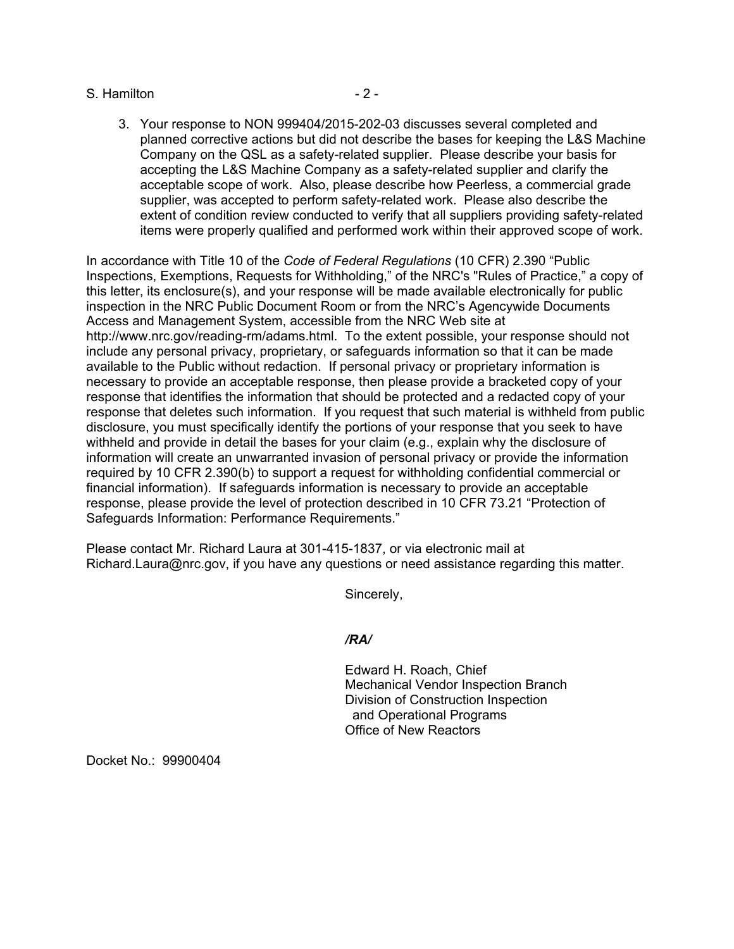## S. Hamilton **- 2 -**

3. Your response to NON 999404/2015-202-03 discusses several completed and planned corrective actions but did not describe the bases for keeping the L&S Machine Company on the QSL as a safety-related supplier. Please describe your basis for accepting the L&S Machine Company as a safety-related supplier and clarify the acceptable scope of work. Also, please describe how Peerless, a commercial grade supplier, was accepted to perform safety-related work. Please also describe the extent of condition review conducted to verify that all suppliers providing safety-related items were properly qualified and performed work within their approved scope of work.

In accordance with Title 10 of the *Code of Federal Regulations* (10 CFR) 2.390 "Public Inspections, Exemptions, Requests for Withholding," of the NRC's "Rules of Practice," a copy of this letter, its enclosure(s), and your response will be made available electronically for public inspection in the NRC Public Document Room or from the NRC's Agencywide Documents Access and Management System, accessible from the NRC Web site at http://www.nrc.gov/reading-rm/adams.html. To the extent possible, your response should not include any personal privacy, proprietary, or safeguards information so that it can be made available to the Public without redaction. If personal privacy or proprietary information is necessary to provide an acceptable response, then please provide a bracketed copy of your response that identifies the information that should be protected and a redacted copy of your response that deletes such information. If you request that such material is withheld from public disclosure, you must specifically identify the portions of your response that you seek to have withheld and provide in detail the bases for your claim (e.g., explain why the disclosure of information will create an unwarranted invasion of personal privacy or provide the information required by 10 CFR 2.390(b) to support a request for withholding confidential commercial or financial information). If safeguards information is necessary to provide an acceptable response, please provide the level of protection described in 10 CFR 73.21 "Protection of Safeguards Information: Performance Requirements."

Please contact Mr. Richard Laura at 301-415-1837, or via electronic mail at Richard.Laura@nrc.gov, if you have any questions or need assistance regarding this matter.

Sincerely,

## */RA/*

Edward H. Roach, Chief Mechanical Vendor Inspection Branch Division of Construction Inspection and Operational Programs Office of New Reactors

Docket No.: 99900404